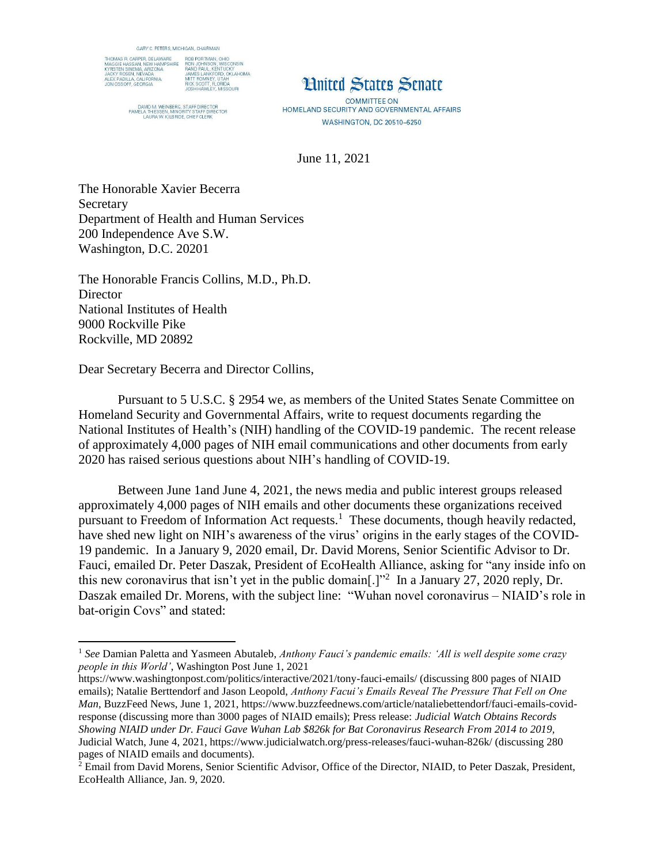

DAVID M, WEINBERG, STAFF DIRECTOR<br>PAMELA THIESSEN, MINORITY STAFF DIRECTOR<br>LAURA W, KILBRIDE, CHIEF CLERK

**Hnited States Senate** 

**COMMITTEE ON** HOMELAND SECURITY AND GOVERNMENTAL AFFAIRS **WASHINGTON, DC 20510-6250** 

June 11, 2021

The Honorable Xavier Becerra Secretary Department of Health and Human Services 200 Independence Ave S.W. Washington, D.C. 20201

The Honorable Francis Collins, M.D., Ph.D. **Director** National Institutes of Health 9000 Rockville Pike Rockville, MD 20892

Dear Secretary Becerra and Director Collins,

l

Pursuant to 5 U.S.C. § 2954 we, as members of the United States Senate Committee on Homeland Security and Governmental Affairs, write to request documents regarding the National Institutes of Health's (NIH) handling of the COVID-19 pandemic. The recent release of approximately 4,000 pages of NIH email communications and other documents from early 2020 has raised serious questions about NIH's handling of COVID-19.

Between June 1and June 4, 2021, the news media and public interest groups released approximately 4,000 pages of NIH emails and other documents these organizations received pursuant to Freedom of Information Act requests.<sup>1</sup> These documents, though heavily redacted, have shed new light on NIH's awareness of the virus' origins in the early stages of the COVID-19 pandemic. In a January 9, 2020 email, Dr. David Morens, Senior Scientific Advisor to Dr. Fauci, emailed Dr. Peter Daszak, President of EcoHealth Alliance, asking for "any inside info on this new coronavirus that isn't yet in the public domain[.]"<sup>2</sup> In a January 27, 2020 reply, Dr. Daszak emailed Dr. Morens, with the subject line: "Wuhan novel coronavirus – NIAID's role in bat-origin Covs" and stated:

<sup>&</sup>lt;sup>1</sup> See Damian Paletta and Yasmeen Abutaleb, *Anthony Fauci's pandemic emails: 'All is well despite some crazy people in this World'*, Washington Post June 1, 2021

https://www.washingtonpost.com/politics/interactive/2021/tony-fauci-emails/ (discussing 800 pages of NIAID emails); Natalie Berttendorf and Jason Leopold, *Anthony Facui's Emails Reveal The Pressure That Fell on One Man*, BuzzFeed News, June 1, 2021, https://www.buzzfeednews.com/article/nataliebettendorf/fauci-emails-covidresponse (discussing more than 3000 pages of NIAID emails); Press release: *Judicial Watch Obtains Records Showing NIAID under Dr. Fauci Gave Wuhan Lab \$826k for Bat Coronavirus Research From 2014 to 2019,* Judicial Watch, June 4, 2021, https://www.judicialwatch.org/press-releases/fauci-wuhan-826k/ (discussing 280 pages of NIAID emails and documents).

<sup>&</sup>lt;sup>2</sup> Email from David Morens, Senior Scientific Advisor, Office of the Director, NIAID, to Peter Daszak, President, EcoHealth Alliance, Jan. 9, 2020.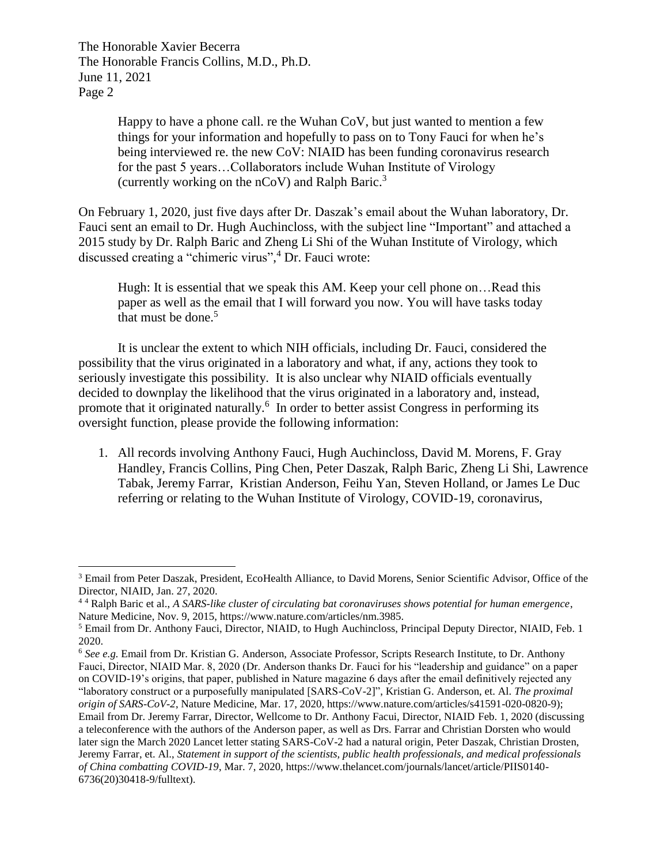The Honorable Xavier Becerra The Honorable Francis Collins, M.D., Ph.D. June 11, 2021 Page 2

l

Happy to have a phone call. re the Wuhan CoV, but just wanted to mention a few things for your information and hopefully to pass on to Tony Fauci for when he's being interviewed re. the new CoV: NIAID has been funding coronavirus research for the past 5 years…Collaborators include Wuhan Institute of Virology (currently working on the  $nCoV$ ) and Ralph Baric.<sup>3</sup>

On February 1, 2020, just five days after Dr. Daszak's email about the Wuhan laboratory, Dr. Fauci sent an email to Dr. Hugh Auchincloss, with the subject line "Important" and attached a 2015 study by Dr. Ralph Baric and Zheng Li Shi of the Wuhan Institute of Virology, which discussed creating a "chimeric virus", <sup>4</sup> Dr. Fauci wrote:

Hugh: It is essential that we speak this AM. Keep your cell phone on...Read this paper as well as the email that I will forward you now. You will have tasks today that must be done. $5$ 

It is unclear the extent to which NIH officials, including Dr. Fauci, considered the possibility that the virus originated in a laboratory and what, if any, actions they took to seriously investigate this possibility. It is also unclear why NIAID officials eventually decided to downplay the likelihood that the virus originated in a laboratory and, instead, promote that it originated naturally.<sup>6</sup> In order to better assist Congress in performing its oversight function, please provide the following information:

1. All records involving Anthony Fauci, Hugh Auchincloss, David M. Morens, F. Gray Handley, Francis Collins, Ping Chen, Peter Daszak, Ralph Baric, Zheng Li Shi, Lawrence Tabak, Jeremy Farrar, Kristian Anderson, Feihu Yan, Steven Holland, or James Le Duc referring or relating to the Wuhan Institute of Virology, COVID-19, coronavirus,

<sup>3</sup> Email from Peter Daszak, President, EcoHealth Alliance, to David Morens, Senior Scientific Advisor, Office of the Director, NIAID, Jan. 27, 2020.

<sup>4</sup> <sup>4</sup> Ralph Baric et al., *A SARS-like cluster of circulating bat coronaviruses shows potential for human emergence*, Nature Medicine, Nov. 9, 2015, https://www.nature.com/articles/nm.3985.

<sup>5</sup> Email from Dr. Anthony Fauci, Director, NIAID, to Hugh Auchincloss, Principal Deputy Director, NIAID, Feb. 1 2020.

<sup>6</sup> *See e.g.* Email from Dr. Kristian G. Anderson, Associate Professor, Scripts Research Institute, to Dr. Anthony Fauci, Director, NIAID Mar. 8, 2020 (Dr. Anderson thanks Dr. Fauci for his "leadership and guidance" on a paper on COVID-19's origins, that paper, published in Nature magazine 6 days after the email definitively rejected any "laboratory construct or a purposefully manipulated [SARS-CoV-2]", Kristian G. Anderson, et. Al. *The proximal origin of SARS-CoV-2*, Nature Medicine, Mar. 17, 2020, https://www.nature.com/articles/s41591-020-0820-9); Email from Dr. Jeremy Farrar, Director, Wellcome to Dr. Anthony Facui, Director, NIAID Feb. 1, 2020 (discussing a teleconference with the authors of the Anderson paper, as well as Drs. Farrar and Christian Dorsten who would later sign the March 2020 Lancet letter stating SARS-CoV-2 had a natural origin, Peter Daszak, Christian Drosten, Jeremy Farrar, et. Al., *Statement in support of the scientists, public health professionals, and medical professionals of China combatting COVID-19*, Mar. 7, 2020, https://www.thelancet.com/journals/lancet/article/PIIS0140- 6736(20)30418-9/fulltext).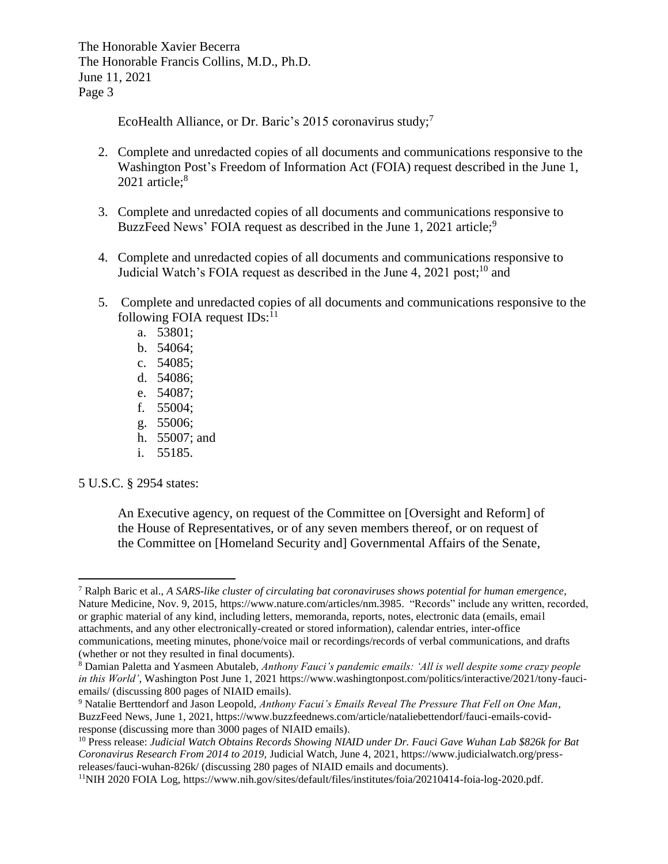The Honorable Xavier Becerra The Honorable Francis Collins, M.D., Ph.D. June 11, 2021 Page 3

EcoHealth Alliance, or Dr. Baric's 2015 coronavirus study;<sup>7</sup>

- 2. Complete and unredacted copies of all documents and communications responsive to the Washington Post's Freedom of Information Act (FOIA) request described in the June 1, 2021 article; $8$
- 3. Complete and unredacted copies of all documents and communications responsive to BuzzFeed News' FOIA request as described in the June 1, 2021 article;<sup>9</sup>
- 4. Complete and unredacted copies of all documents and communications responsive to Judicial Watch's FOIA request as described in the June 4, 2021 post;<sup>10</sup> and
- 5. Complete and unredacted copies of all documents and communications responsive to the following FOIA request  $IDs$ :<sup>11</sup>
	- a. 53801;
	- b. 54064;
	- c. 54085;
	- d. 54086;
	- e. 54087;
	- f. 55004;
	- g. 55006;
	- h. 55007; and
	- i. 55185.

5 U.S.C. § 2954 states:

An Executive agency, on request of the Committee on [Oversight and Reform] of the House of Representatives, or of any seven members thereof, or on request of the Committee on [Homeland Security and] Governmental Affairs of the Senate,

 $\overline{\phantom{a}}$ <sup>7</sup> Ralph Baric et al., *A SARS-like cluster of circulating bat coronaviruses shows potential for human emergence*, Nature Medicine, Nov. 9, 2015, https://www.nature.com/articles/nm.3985. "Records" include any written, recorded, or graphic material of any kind, including letters, memoranda, reports, notes, electronic data (emails, email attachments, and any other electronically-created or stored information), calendar entries, inter-office communications, meeting minutes, phone/voice mail or recordings/records of verbal communications, and drafts (whether or not they resulted in final documents).

<sup>8</sup> Damian Paletta and Yasmeen Abutaleb, *Anthony Fauci's pandemic emails: 'All is well despite some crazy people in this World'*, Washington Post June 1, 2021 https://www.washingtonpost.com/politics/interactive/2021/tony-fauciemails/ (discussing 800 pages of NIAID emails).

<sup>9</sup> Natalie Berttendorf and Jason Leopold, *Anthony Facui's Emails Reveal The Pressure That Fell on One Man*, BuzzFeed News, June 1, 2021, https://www.buzzfeednews.com/article/nataliebettendorf/fauci-emails-covidresponse (discussing more than 3000 pages of NIAID emails).

<sup>10</sup> Press release: *Judicial Watch Obtains Records Showing NIAID under Dr. Fauci Gave Wuhan Lab \$826k for Bat Coronavirus Research From 2014 to 2019,* Judicial Watch, June 4, 2021, https://www.judicialwatch.org/pressreleases/fauci-wuhan-826k/ (discussing 280 pages of NIAID emails and documents).

<sup>11</sup>NIH 2020 FOIA Log, https://www.nih.gov/sites/default/files/institutes/foia/20210414-foia-log-2020.pdf.